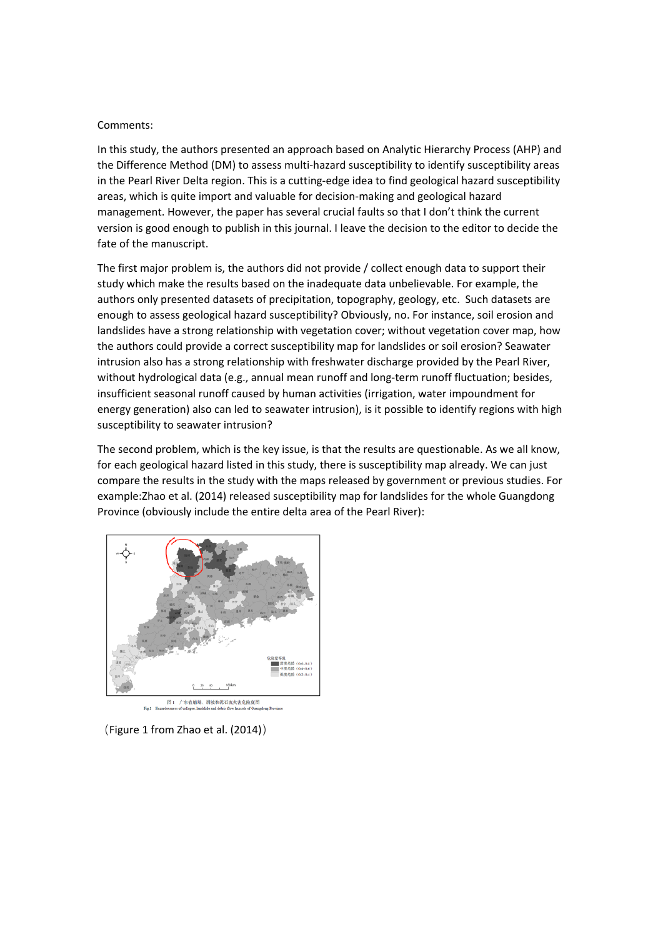## Comments:

In this study, the authors presented an approach based on Analytic Hierarchy Process (AHP) and the Difference Method (DM) to assess multi‐hazard susceptibility to identify susceptibility areas in the Pearl River Delta region. This is a cutting‐edge idea to find geological hazard susceptibility areas, which is quite import and valuable for decision‐making and geological hazard management. However, the paper has several crucial faults so that I don't think the current version is good enough to publish in this journal. I leave the decision to the editor to decide the fate of the manuscript.

The first major problem is, the authors did not provide / collect enough data to support their study which make the results based on the inadequate data unbelievable. For example, the authors only presented datasets of precipitation, topography, geology, etc. Such datasets are enough to assess geological hazard susceptibility? Obviously, no. For instance, soil erosion and landslides have a strong relationship with vegetation cover; without vegetation cover map, how the authors could provide a correct susceptibility map for landslides or soil erosion? Seawater intrusion also has a strong relationship with freshwater discharge provided by the Pearl River, without hydrological data (e.g., annual mean runoff and long-term runoff fluctuation; besides, insufficient seasonal runoff caused by human activities (irrigation, water impoundment for energy generation) also can led to seawater intrusion), is it possible to identify regions with high susceptibility to seawater intrusion?

The second problem, which is the key issue, is that the results are questionable. As we all know, for each geological hazard listed in this study, there is susceptibility map already. We can just compare the results in the study with the maps released by government or previous studies. For example:Zhao et al. (2014) released susceptibility map for landslides for the whole Guangdong Province (obviously include the entire delta area of the Pearl River):



(Figure 1 from Zhao et al. (2014))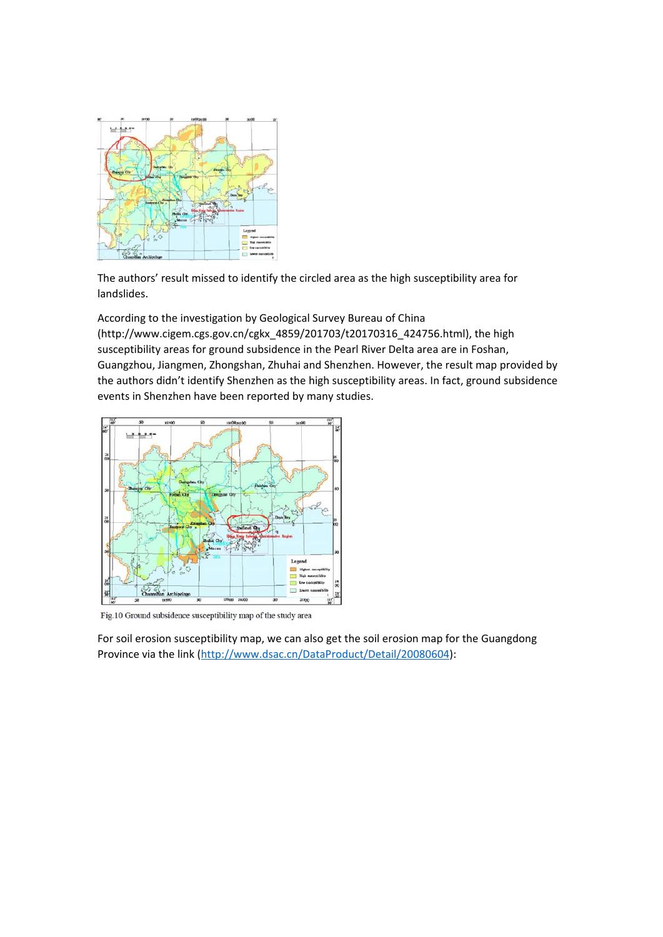

The authors' result missed to identify the circled area as the high susceptibility area for landslides.

According to the investigation by Geological Survey Bureau of China (http://www.cigem.cgs.gov.cn/cgkx\_4859/201703/t20170316\_424756.html), the high susceptibility areas for ground subsidence in the Pearl River Delta area are in Foshan, Guangzhou, Jiangmen, Zhongshan, Zhuhai and Shenzhen. However, the result map provided by the authors didn't identify Shenzhen as the high susceptibility areas. In fact, ground subsidence events in Shenzhen have been reported by many studies.



Fig.10 Ground subsidence susceptibility map of the study area

For soil erosion susceptibility map, we can also get the soil erosion map for the Guangdong Province via the link (http://www.dsac.cn/DataProduct/Detail/20080604):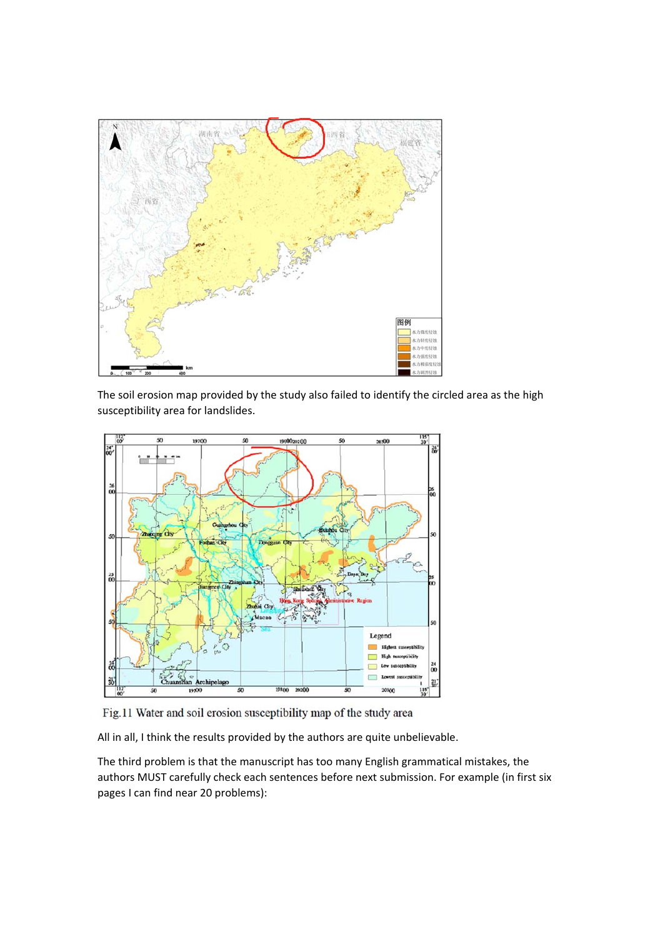

The soil erosion map provided by the study also failed to identify the circled area as the high susceptibility area for landslides.



Fig.11 Water and soil erosion susceptibility map of the study area

All in all, I think the results provided by the authors are quite unbelievable.

The third problem is that the manuscript has too many English grammatical mistakes, the authors MUST carefully check each sentences before next submission. For example (in first six pages I can find near 20 problems):